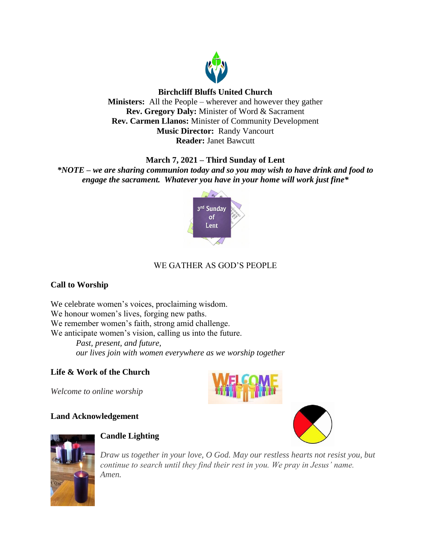

## **Birchcliff Bluffs United Church**

**Ministers:** All the People – wherever and however they gather **Rev. Gregory Daly:** Minister of Word & Sacrament **Rev. Carmen Llanos:** Minister of Community Development **Music Director:** Randy Vancourt **Reader:** Janet Bawcutt

## **March 7, 2021 – Third Sunday of Lent**

*\*NOTE – we are sharing communion today and so you may wish to have drink and food to engage the sacrament. Whatever you have in your home will work just fine\**



# WE GATHER AS GOD'S PEOPLE

## **Call to Worship**

We celebrate women's voices, proclaiming wisdom. We honour women's lives, forging new paths. We remember women's faith, strong amid challenge. We anticipate women's vision, calling us into the future. *Past, present, and future, our lives join with women everywhere as we worship together*

## **Life & Work of the Church**

*Welcome to online worship*

## **Land Acknowledgement**







## **Candle Lighting**

*Draw us together in your love, O God. May our restless hearts not resist you, but continue to search until they find their rest in you. We pray in Jesus' name. Amen.*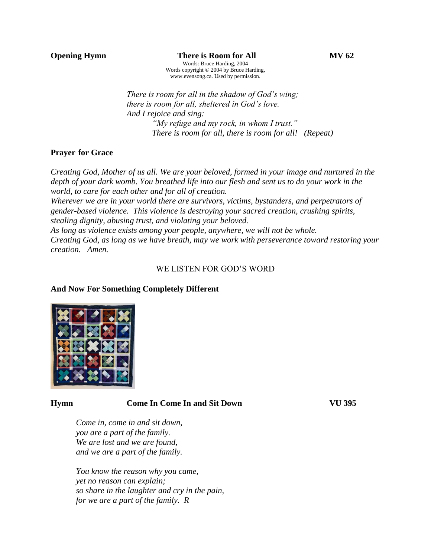*There is room for all in the shadow of God's wing; there is room for all, sheltered in God's love. And I rejoice and sing: "My refuge and my rock, in whom I trust." There is room for all, there is room for all! (Repeat)*

## **Prayer for Grace**

*Creating God, Mother of us all. We are your beloved, formed in your image and nurtured in the depth of your dark womb. You breathed life into our flesh and sent us to do your work in the world, to care for each other and for all of creation.* 

*Wherever we are in your world there are survivors, victims, bystanders, and perpetrators of gender-based violence. This violence is destroying your sacred creation, crushing spirits, stealing dignity, abusing trust, and violating your beloved.*

*As long as violence exists among your people, anywhere, we will not be whole.*

*Creating God, as long as we have breath, may we work with perseverance toward restoring your creation. Amen.*

## WE LISTEN FOR GOD'S WORD

### **And Now For Something Completely Different**



## **Hymn Come In Come In and Sit Down VU 395**

*Come in, come in and sit down, you are a part of the family. We are lost and we are found, and we are a part of the family.*

*You know the reason why you came, yet no reason can explain; so share in the laughter and cry in the pain, for we are a part of the family. R*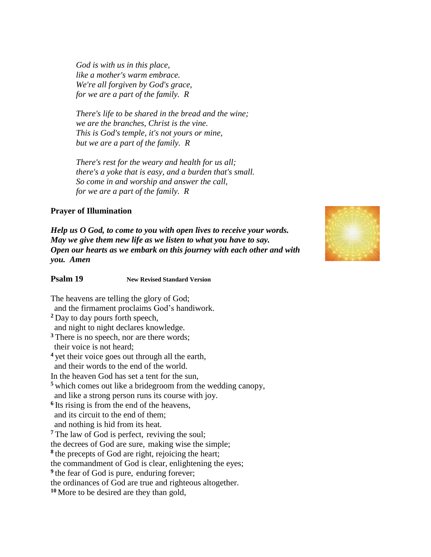*God is with us in this place, like a mother's warm embrace. We're all forgiven by God's grace, for we are a part of the family. R*

*There's life to be shared in the bread and the wine; we are the branches, Christ is the vine. This is God's temple, it's not yours or mine, but we are a part of the family. R*

*There's rest for the weary and health for us all; there's a yoke that is easy, and a burden that's small. So come in and worship and answer the call, for we are a part of the family. R*

### **Prayer of Illumination**

*Help us O God, to come to you with open lives to receive your words. May we give them new life as we listen to what you have to say. Open our hearts as we embark on this journey with each other and with you. Amen*



**Psalm 19 New Revised Standard Version**

The heavens are telling the glory of God; and the firmament proclaims God's handiwork. **<sup>2</sup>** Day to day pours forth speech, and night to night declares knowledge. <sup>3</sup> There is no speech, nor are there words; their voice is not heard; **<sup>4</sup>** yet their voice goes out through all the earth, and their words to the end of the world. In the heaven God has set a tent for the sun, **<sup>5</sup>** which comes out like a bridegroom from the wedding canopy, and like a strong person runs its course with joy. **6** Its rising is from the end of the heavens, and its circuit to the end of them; and nothing is hid from its heat. **<sup>7</sup>** The law of God is perfect, reviving the soul; the decrees of God are sure, making wise the simple; **8** the precepts of God are right, rejoicing the heart; the commandment of God is clear, enlightening the eyes; <sup>9</sup> the fear of God is pure, enduring forever; the ordinances of God are true and righteous altogether.

**<sup>10</sup>** More to be desired are they than gold,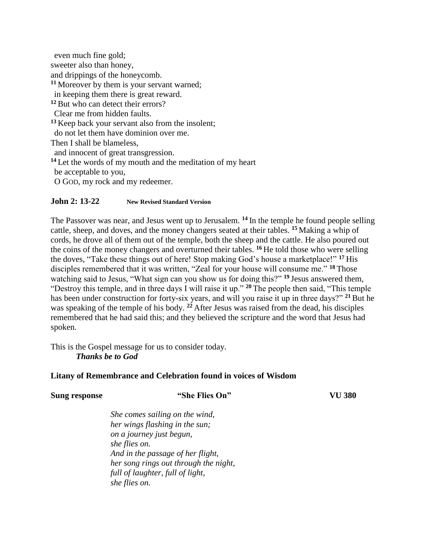even much fine gold; sweeter also than honey, and drippings of the honeycomb. **<sup>11</sup>** Moreover by them is your servant warned; in keeping them there is great reward. **<sup>12</sup>**But who can detect their errors? Clear me from hidden faults. **<sup>13</sup>** Keep back your servant also from the insolent; do not let them have dominion over me. Then I shall be blameless, and innocent of great transgression. **<sup>14</sup>** Let the words of my mouth and the meditation of my heart be acceptable to you, O GOD, my rock and my redeemer.

## **John 2: 13-22 New Revised Standard Version**

The Passover was near, and Jesus went up to Jerusalem. **<sup>14</sup>** In the temple he found people selling cattle, sheep, and doves, and the money changers seated at their tables. **<sup>15</sup>** Making a whip of cords, he drove all of them out of the temple, both the sheep and the cattle. He also poured out the coins of the money changers and overturned their tables. **<sup>16</sup>** He told those who were selling the doves, "Take these things out of here! Stop making God's house a marketplace!" **<sup>17</sup>** His disciples remembered that it was written, "Zeal for your house will consume me." **<sup>18</sup>** Those watching said to Jesus, "What sign can you show us for doing this?" **<sup>19</sup>** Jesus answered them, "Destroy this temple, and in three days I will raise it up." **<sup>20</sup>** The people then said, "This temple has been under construction for forty-six years, and will you raise it up in three days?" **<sup>21</sup>** But he was speaking of the temple of his body. **<sup>22</sup>** After Jesus was raised from the dead, his disciples remembered that he had said this; and they believed the scripture and the word that Jesus had spoken.

This is the Gospel message for us to consider today. *Thanks be to God*

### **Litany of Remembrance and Celebration found in voices of Wisdom**

## **Sung response "She Flies On" VU 380**

*She comes sailing on the wind, her wings flashing in the sun; on a journey just begun, she flies on. And in the passage of her flight, her song rings out through the night, full of laughter, full of light, she flies on.*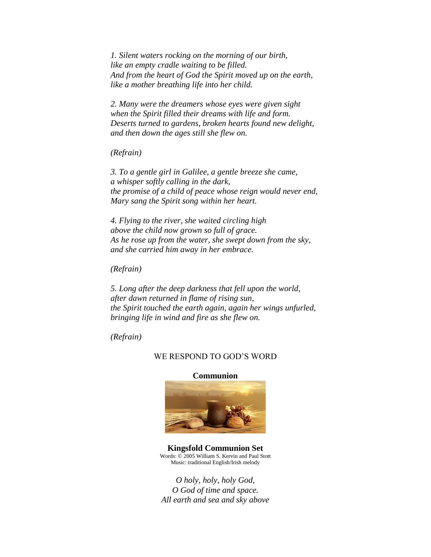*1. Silent waters rocking on the morning of our birth, like an empty cradle waiting to be filled. And from the heart of God the Spirit moved up on the earth, like a mother breathing life into her child.*

*2. Many were the dreamers whose eyes were given sight when the Spirit filled their dreams with life and form. Deserts turned to gardens, broken hearts found new delight, and then down the ages still she flew on.*

*(Refrain)*

*3. To a gentle girl in Galilee, a gentle breeze she came, a whisper softly calling in the dark, the promise of a child of peace whose reign would never end, Mary sang the Spirit song within her heart.*

*4. Flying to the river, she waited circling high above the child now grown so full of grace. As he rose up from the water, she swept down from the sky, and she carried him away in her embrace.*

*(Refrain)*

*5. Long after the deep darkness that fell upon the world, after dawn returned in flame of rising sun, the Spirit touched the earth again, again her wings unfurled, bringing life in wind and fire as she flew on.*

*(Refrain)*

#### WE RESPOND TO GOD'S WORD

#### **Communion**



**Kingsfold Communion Set** Words: © 2005 William S. Kervin and Paul Stott Music: traditional English/Irish melody

*O holy, holy, holy God, O God of time and space. All earth and sea and sky above*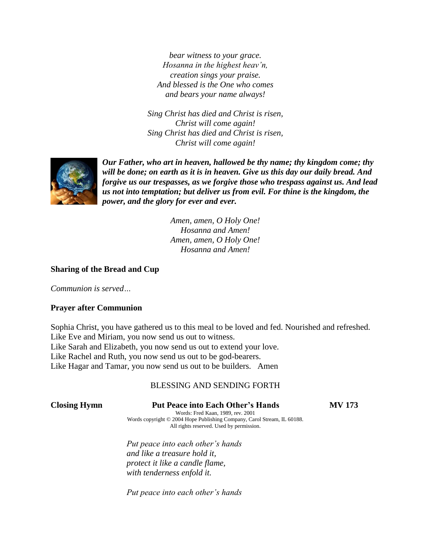*bear witness to your grace. Hosanna in the highest heav'n, creation sings your praise. And blessed is the One who comes and bears your name always!*

*Sing Christ has died and Christ is risen, Christ will come again! Sing Christ has died and Christ is risen, Christ will come again!*



*Our Father, who art in heaven, hallowed be thy name; thy kingdom come; thy will be done; on earth as it is in heaven. Give us this day our daily bread. And forgive us our trespasses, as we forgive those who trespass against us. And lead us not into temptation; but deliver us from evil. For thine is the kingdom, the power, and the glory for ever and ever.* 

> *Amen, amen, O Holy One! Hosanna and Amen! Amen, amen, O Holy One! Hosanna and Amen!*

#### **Sharing of the Bread and Cup**

*Communion is served…*

#### **Prayer after Communion**

Sophia Christ, you have gathered us to this meal to be loved and fed. Nourished and refreshed. Like Eve and Miriam, you now send us out to witness. Like Sarah and Elizabeth, you now send us out to extend your love. Like Rachel and Ruth, you now send us out to be god-bearers. Like Hagar and Tamar, you now send us out to be builders. Amen

#### BLESSING AND SENDING FORTH

#### **Closing Hymn Put Peace into Each Other's Hands MV 173**

Words: Fred Kaan, 1989, rev. 2001 Words copyright © 2004 Hope Publishing Company, Carol Stream, IL 60188. All rights reserved. Used by permission.

*Put peace into each other's hands and like a treasure hold it, protect it like a candle flame, with tenderness enfold it.*

*Put peace into each other's hands*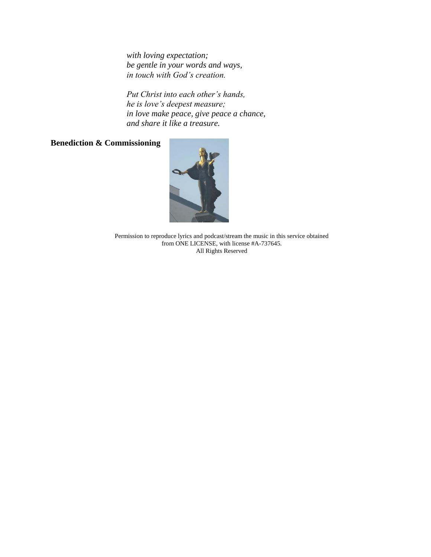*with loving expectation; be gentle in your words and ways, in touch with God's creation.*

*Put Christ into each other's hands, he is love's deepest measure; in love make peace, give peace a chance, and share it like a treasure.*

## **Benediction & Commissioning**



Permission to reproduce lyrics and podcast/stream the music in this service obtained from ONE LICENSE, with license #A-737645. All Rights Reserved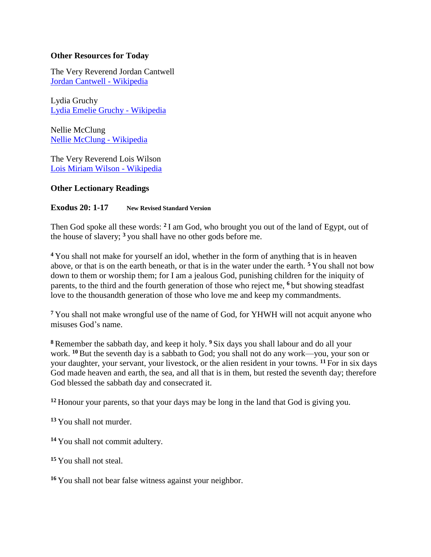## **Other Resources for Today**

The Very Reverend Jordan Cantwell [Jordan Cantwell -](https://en.wikipedia.org/wiki/Jordan_Cantwell) Wikipedia

Lydia Gruchy [Lydia Emelie Gruchy -](https://en.wikipedia.org/wiki/Lydia_Emelie_Gruchy) Wikipedia

Nellie McClung [Nellie McClung -](https://en.wikipedia.org/wiki/Nellie_McClung) Wikipedia

The Very Reverend Lois Wilson [Lois Miriam Wilson -](https://en.wikipedia.org/wiki/Lois_Miriam_Wilson) Wikipedia

## **Other Lectionary Readings**

#### **Exodus 20: 1-17 New Revised Standard Version**

Then God spoke all these words: **<sup>2</sup>** I am God, who brought you out of the land of Egypt, out of the house of slavery; **<sup>3</sup>** you shall have no other gods before me.

**<sup>4</sup>** You shall not make for yourself an idol, whether in the form of anything that is in heaven above, or that is on the earth beneath, or that is in the water under the earth. **<sup>5</sup>** You shall not bow down to them or worship them; for I am a jealous God, punishing children for the iniquity of parents, to the third and the fourth generation of those who reject me, **<sup>6</sup>** but showing steadfast love to the thousandth generation of those who love me and keep my commandments.

**<sup>7</sup>** You shall not make wrongful use of the name of God, for YHWH will not acquit anyone who misuses God's name.

**<sup>8</sup>** Remember the sabbath day, and keep it holy. **<sup>9</sup>** Six days you shall labour and do all your work. **<sup>10</sup>** But the seventh day is a sabbath to God; you shall not do any work—you, your son or your daughter, your servant, your livestock, or the alien resident in your towns. **<sup>11</sup>** For in six days God made heaven and earth, the sea, and all that is in them, but rested the seventh day; therefore God blessed the sabbath day and consecrated it.

**<sup>12</sup>** Honour your parents, so that your days may be long in the land that God is giving you.

**<sup>13</sup>** You shall not murder.

**<sup>14</sup>** You shall not commit adultery.

**<sup>15</sup>** You shall not steal.

**<sup>16</sup>** You shall not bear false witness against your neighbor.